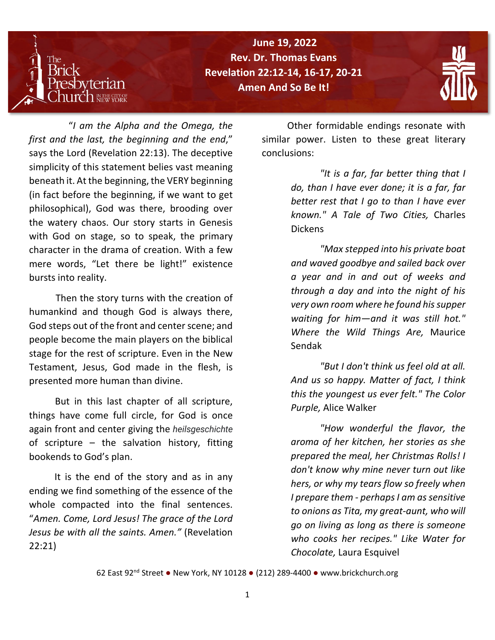

**Porn Again / Rev. Dr. Thomas Evans The Reverend Dr. Thomas Evans Revelation 22:12-14, 16-17, 20-21 June 19, 2022 Amen And So Be It!**



 "*I am the Alpha and the Omega, the first and the last, the beginning and the end*," says the Lord (Revelation 22:13). The deceptive simplicity of this statement belies vast meaning beneath it. At the beginning, the VERY beginning (in fact before the beginning, if we want to get philosophical), God was there, brooding over the watery chaos. Our story starts in Genesis with God on stage, so to speak, the primary character in the drama of creation. With a few mere words, "Let there be light!" existence bursts into reality.

 Then the story turns with the creation of humankind and though God is always there, God steps out of the front and center scene; and people become the main players on the biblical stage for the rest of scripture. Even in the New Testament, Jesus, God made in the flesh, is presented more human than divine.

 But in this last chapter of all scripture, things have come full circle, for God is once again front and center giving the *heilsgeschichte* of scripture – the salvation history, fitting bookends to God's plan.

 It is the end of the story and as in any ending we find something of the essence of the whole compacted into the final sentences. "*Amen. Come, Lord Jesus! The grace of the Lord Jesus be with all the saints. Amen."* (Revelation 22:21)

 Other formidable endings resonate with similar power. Listen to these great literary conclusions:

> *"It is a far, far better thing that I do, than I have ever done; it is a far, far better rest that I go to than I have ever known." A Tale of Two Cities,* Charles Dickens

> *"Max stepped into his private boat and waved goodbye and sailed back over a year and in and out of weeks and through a day and into the night of his very own room where he found his supper waiting for him—and it was still hot." Where the Wild Things Are,* Maurice Sendak

> *"But I don't think us feel old at all. And us so happy. Matter of fact, I think this the youngest us ever felt." The Color Purple,* Alice Walker

> *"How wonderful the flavor, the aroma of her kitchen, her stories as she prepared the meal, her Christmas Rolls! I don't know why mine never turn out like hers, or why my tears flow so freely when I prepare them - perhaps I am as sensitive to onions as Tita, my great-aunt, who will go on living as long as there is someone who cooks her recipes." Like Water for Chocolate,* Laura Esquivel

62 East 92nd Street ● New York, NY 10128 ● (212) 289-4400 ● [www.brickchurch.org](http://www.brickchurch.org/)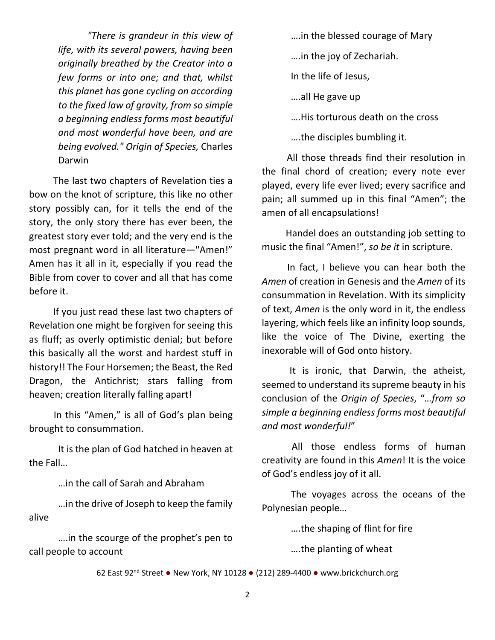*"There is grandeur in this view of life, with its several powers, having been originally breathed by the Creator into a few forms or into one; and that, whilst this planet has gone cycling on according to the fixed law of gravity, from so simple a beginning endless forms most beautiful and most wonderful have been, and are being evolved." Origin of Species,* Charles Darwin

 The last two chapters of Revelation ties a bow on the knot of scripture, this like no other story possibly can, for it tells the end of the story, the only story there has ever been, the greatest story ever told; and the very end is the most pregnant word in all literature—"Amen!" Amen has it all in it, especially if you read the Bible from cover to cover and all that has come before it.

 If you just read these last two chapters of Revelation one might be forgiven for seeing this as fluff; as overly optimistic denial; but before this basically all the worst and hardest stuff in history!! The Four Horsemen; the Beast, the Red Dragon, the Antichrist; stars falling from heaven; creation literally falling apart!

 In this "Amen," is all of God's plan being brought to consummation.

It is the plan of God hatched in heaven at the Fall…

…in the call of Sarah and Abraham

…in the drive of Joseph to keep the family alive

….in the scourge of the prophet's pen to call people to account

….in the blessed courage of Mary ….in the joy of Zechariah. In the life of Jesus, ….all He gave up

….His torturous death on the cross

….the disciples bumbling it.

 All those threads find their resolution in the final chord of creation; every note ever played, every life ever lived; every sacrifice and pain; all summed up in this final "Amen"; the amen of all encapsulations!

 Handel does an outstanding job setting to music the final "Amen!", *so be it* in scripture.

 In fact, I believe you can hear both the *Amen* of creation in Genesis and the *Amen* of its consummation in Revelation. With its simplicity of text, *Amen* is the only word in it, the endless layering, which feels like an infinity loop sounds, like the voice of The Divine, exerting the inexorable will of God onto history.

 It is ironic, that Darwin, the atheist, seemed to understand its supreme beauty in his conclusion of the *Origin of Species*, "*…from so simple a beginning endless forms most beautiful and most wonderful!*"

 All those endless forms of human creativity are found in this *Amen*! It is the voice of God's endless joy of it all.

The voyages across the oceans of the Polynesian people…

….the shaping of flint for fire

….the planting of wheat

62 East 92nd Street ● New York, NY 10128 ● (212) 289-4400 ● [www.brickchurch.org](http://www.brickchurch.org/)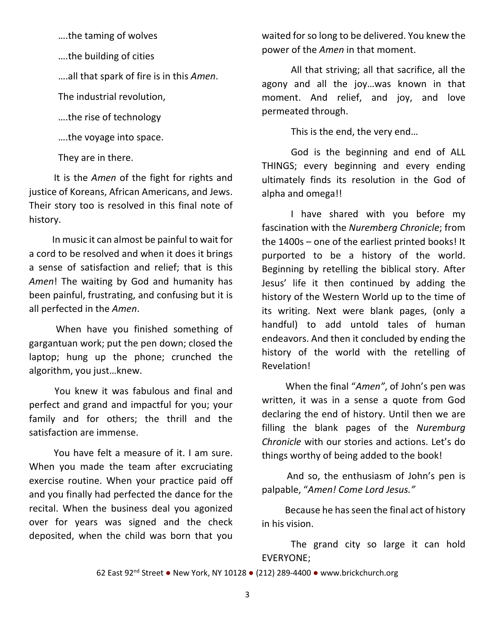….the taming of wolves

….the building of cities

….all that spark of fire is in this *Amen*.

The industrial revolution,

….the rise of technology

….the voyage into space.

They are in there.

 It is the *Amen* of the fight for rights and justice of Koreans, African Americans, and Jews. Their story too is resolved in this final note of history.

 In music it can almost be painful to wait for a cord to be resolved and when it does it brings a sense of satisfaction and relief; that is this *Amen*! The waiting by God and humanity has been painful, frustrating, and confusing but it is all perfected in the *Amen*.

 When have you finished something of gargantuan work; put the pen down; closed the laptop; hung up the phone; crunched the algorithm, you just…knew.

 You knew it was fabulous and final and perfect and grand and impactful for you; your family and for others; the thrill and the satisfaction are immense.

 You have felt a measure of it. I am sure. When you made the team after excruciating exercise routine. When your practice paid off and you finally had perfected the dance for the recital. When the business deal you agonized over for years was signed and the check deposited, when the child was born that you

waited for so long to be delivered. You knew the power of the *Amen* in that moment.

All that striving; all that sacrifice, all the agony and all the joy…was known in that moment. And relief, and joy, and love permeated through.

This is the end, the very end…

God is the beginning and end of ALL THINGS; every beginning and every ending ultimately finds its resolution in the God of alpha and omega!!

 I have shared with you before my fascination with the *Nuremberg Chronicle*; from the 1400s – one of the earliest printed books! It purported to be a history of the world. Beginning by retelling the biblical story. After Jesus' life it then continued by adding the history of the Western World up to the time of its writing. Next were blank pages, (only a handful) to add untold tales of human endeavors. And then it concluded by ending the history of the world with the retelling of Revelation!

 When the final "*Amen"*, of John's pen was written, it was in a sense a quote from God declaring the end of history. Until then we are filling the blank pages of the *Nuremburg Chronicle* with our stories and actions. Let's do things worthy of being added to the book!

 And so, the enthusiasm of John's pen is palpable, "*Amen! Come Lord Jesus."*

 Because he has seen the final act of history in his vision.

The grand city so large it can hold EVERYONE;

62 East 92nd Street ● New York, NY 10128 ● (212) 289-4400 ● [www.brickchurch.org](http://www.brickchurch.org/)